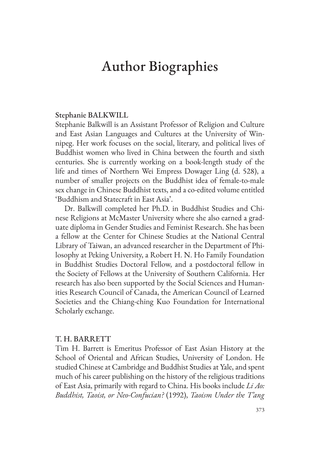# Author Biographies

#### Stephanie BALKWILL

Stephanie Balkwill is an Assistant Professor of Religion and Culture and East Asian Languages and Cultures at the University of Winnipeg. Her work focuses on the social, literary, and political lives of Buddhist women who lived in China between the fourth and sixth centuries. She is currently working on a book-length study of the life and times of Northern Wei Empress Dowager Ling (d. 528), a number of smaller projects on the Buddhist idea of female-to-male sex change in Chinese Buddhist texts, and a co-edited volume entitled 'Buddhism and Statecraft in East Asia'.

Dr. Balkwill completed her Ph.D. in Buddhist Studies and Chinese Religions at McMaster University where she also earned a graduate diploma in Gender Studies and Feminist Research. She has been a fellow at the Center for Chinese Studies at the National Central Library of Taiwan, an advanced researcher in the Department of Philosophy at Peking University, a Robert H. N. Ho Family Foundation in Buddhist Studies Doctoral Fellow, and a postdoctoral fellow in the Society of Fellows at the University of Southern California. Her research has also been supported by the Social Sciences and Humanities Research Council of Canada, the American Council of Learned Societies and the Chiang-ching Kuo Foundation for International Scholarly exchange.

#### T. H. BARRETT

Tim H. Barrett is Emeritus Professor of East Asian History at the School of Oriental and African Studies, University of London. He studied Chinese at Cambridge and Buddhist Studies at Yale, and spent much of his career publishing on the history of the religious traditions of East Asia, primarily with regard to China. His books include *Li Ao: Buddhist, Taoist, or Neo-Confucian?* (1992), *Taoism Under the T'ang*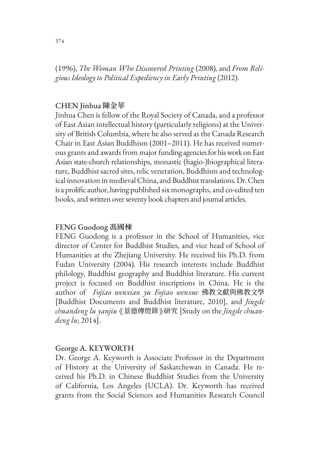(1996), *The Woman Who Discovered Printing* (2008)*,* and *From Religious Ideology to Political Expediency in Early Printing* (2012).

# CHEN Jinhua **陳金華**

Jinhua Chen is fellow of the Royal Society of Canada, and a professor of East Asian intellectual history (particularly religions) at the University of British Columbia, where he also served as the Canada Research Chair in East Asian Buddhism (2001–2011). He has received numerous grants and awards from major funding agencies for his work on East Asian state-church relationships, monastic (hagio-)biographical literature, Buddhist sacred sites, relic veneration, Buddhism and technological innovation in medieval China, and Buddhist translations. Dr. Chen is a prolific author, having published six monographs, and co-edited ten books, and written over seventy book chapters and journal articles.

### FENG Guodong **馮國棟**

FENG Guodong is a professor in the School of Humanities, vice director of Center for Buddhist Studies, and vice head of School of Humanities at the Zhejiang University. He received his Ph.D. from Fudan University (2004). His research interests include Buddhist philology, Buddhist geography and Buddhist literature. His current project is focused on Buddhist inscriptions in China. He is the author of *Fojiao wenxian yu Fojiao wenxue* 佛教文獻與佛教文學 [Buddhist Documents and Buddhist literature, 2010], and *Jingde chuandeng lu yanjiu* 《景德傳燈錄》研究 [Study on the *Jingde chuandeng lu*; 2014].

### George A. KEYWORTH

Dr. George A. Keyworth is Associate Professor in the Department of History at the University of Saskatchewan in Canada. He received his Ph.D. in Chinese Buddhist Studies from the University of California, Los Angeles (UCLA). Dr. Keyworth has received grants from the Social Sciences and Humanities Research Council

374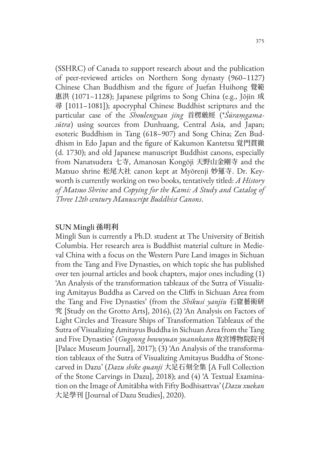(SSHRC) of Canada to support research about and the publication of peer-reviewed articles on Northern Song dynasty (960–1127) Chinese Chan Buddhism and the figure of Juefan Huihong 覺範 惠洪 (1071–1128); Japanese pilgrims to Song China (e.g., Jōjin 成 尋 [1011–1081]); apocryphal Chinese Buddhist scriptures and the particular case of the *Shoulengyan jing* 首楞厳經 (\**Śūraṃgamasūtra*) using sources from Dunhuang, Central Asia, and Japan; esoteric Buddhism in Tang (618–907) and Song China; Zen Buddhism in Edo Japan and the figure of Kakumon Kantetsu 覚門貫徹 (d. 1730); and old Japanese manuscript Buddhist canons, especially from Nanatsudera 七寺, Amanosan Kongōji 天野山金剛寺 and the Matsuo shrine 松尾大社 canon kept at Myōrenji 妙蓮寺. Dr. Keyworth is currently working on two books, tentatively titled: *A History of Matsuo Shrine* and *Copying for the Kami: A Study and Catalog of Three 12th century Manuscript Buddhist Canons*.

### SUN Mingli **孫明利**

Mingli Sun is currently a Ph.D. student at The University of British Columbia. Her research area is Buddhist material culture in Medieval China with a focus on the Western Pure Land images in Sichuan from the Tang and Five Dynasties, on which topic she has published over ten journal articles and book chapters, major ones including (1) 'An Analysis of the transformation tableaux of the Sutra of Visualizing Amitayus Buddha as Carved on the Cliffs in Sichuan Area from the Tang and Five Dynasties' (from the *Shikusi yanjiu* 石窟藝術研 究 [Study on the Grotto Arts], 2016), (2) 'An Analysis on Factors of Light Circles and Treasure Ships of Transformation Tableaux of the Sutra of Visualizing Amitayus Buddha in Sichuan Area from the Tang and Five Dynasties' (*Gugonng bowuyuan yuannkann* 故宮博物院院刊 [Palace Museum Journal], 2017); (3) 'An Analysis of the transformation tableaux of the Sutra of Visualizing Amitayus Buddha of Stonecarved in Dazu' (*Dazu shike quanji* 大足石刻全集 [A Full Collection of the Stone Carvings in Dazu], 2018); and (4) 'A Textual Examination on the Image of Amitābha with Fifty Bodhisattvas' (*Dazu xuekan* 大足學刊 [Journal of Dazu Studies], 2020).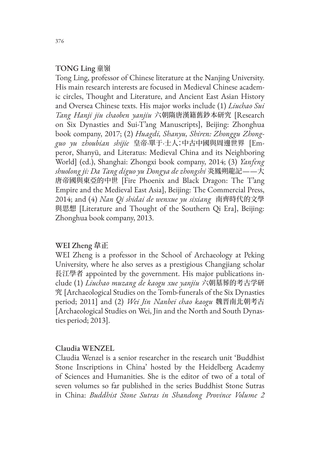# TONG Ling 童嶺

Tong Ling, professor of Chinese literature at the Nanjing University. His main research interests are focused in Medieval Chinese academic circles, Thought and Literature, and Ancient East Asian History and Oversea Chinese texts. His major works include (1) *Liuchao Sui Tang Hanji jiu chaoben yanjiu* 六朝隋唐漢籍舊鈔本研究 [Research on Six Dynasties and Sui-T'ang Manuscripts], Beijing: Zhonghua book company, 2017; (2) *Huagdi, Shanyu, Shiren: Zhonggu Zhongguo yu zhoubian shijie* 皇帝·單于·士人:中古中國與周邊世界 [Emperor, Shanyü, and Literatus: Medieval China and its Neighboring World] (ed.), Shanghai: Zhongxi book company, 2014; (3) *Yanfeng shuolong ji: Da Tang diguo yu Dongya de zhongshi* 炎鳳朔龍記——大 唐帝國與東亞的中世 [Fire Phoenix and Black Dragon: The T'ang Empire and the Medieval East Asia], Beijing: The Commercial Press, 2014; and (4) *Nan Qi shidai de wenxue yu sixiang* 南齊時代的文學 與思想 [Literature and Thought of the Southern Qi Era], Beijing: Zhonghua book company, 2013.

### WEI Zheng **韋正**

WEI Zheng is a professor in the School of Archaeology at Peking University, where he also serves as a prestigious Changjiang scholar 長江學者 appointed by the government. His major publications include (1) *Liuchao muzang de kaogu xue yanjiu* 六朝墓葬的考古学研 究 [Archaeological Studies on the Tomb-funerals of the Six Dynasties period; 2011] and (2) *Wei Jin Nanbei chao kaogu* 魏晋南北朝考古 [Archaeological Studies on Wei, Jin and the North and South Dynasties period; 2013].

#### Claudia WENZEL

Claudia Wenzel is a senior researcher in the research unit 'Buddhist Stone Inscriptions in China' hosted by the Heidelberg Academy of Sciences and Humanities. She is the editor of two of a total of seven volumes so far published in the series Buddhist Stone Sutras in China: *Buddhist Stone Sutras in Shandong Province Volume 2*